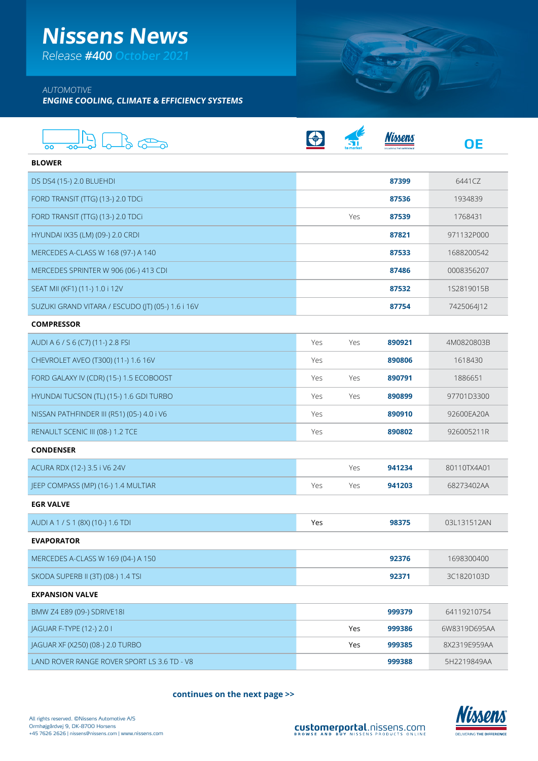# **Nissens News**

Release **#400 October 2021**

### AUTOMOTIVE

**ENGINE COOLING, CLIMATE & EFFICIENCY SYSTEMS**

| OO                                                |     |     |        | <b>OE</b>    |
|---------------------------------------------------|-----|-----|--------|--------------|
| <b>BLOWER</b>                                     |     |     |        |              |
| DS DS4 (15-) 2.0 BLUEHDI                          |     |     | 87399  | 6441C7       |
| FORD TRANSIT (TTG) (13-) 2.0 TDCi                 |     |     | 87536  | 1934839      |
| FORD TRANSIT (TTG) (13-) 2.0 TDCi                 |     | Yes | 87539  | 1768431      |
| HYUNDAI IX35 (LM) (09-) 2.0 CRDI                  |     |     | 87821  | 971132P000   |
| MERCEDES A-CLASS W 168 (97-) A 140                |     |     | 87533  | 1688200542   |
| MERCEDES SPRINTER W 906 (06-) 413 CDI             |     |     | 87486  | 0008356207   |
| SEAT MII (KF1) (11-) 1.0 i 12V                    |     |     | 87532  | 1S2819015B   |
| SUZUKI GRAND VITARA / ESCUDO (IT) (05-) 1.6 i 16V |     |     | 87754  | 7425064J12   |
| <b>COMPRESSOR</b>                                 |     |     |        |              |
| AUDI A 6 / S 6 (C7) (11-) 2.8 FSI                 | Yes | Yes | 890921 | 4M0820803B   |
| CHEVROLET AVEO (T300) (11-) 1.6 16V               | Yes |     | 890806 | 1618430      |
| FORD GALAXY IV (CDR) (15-) 1.5 ECOBOOST           | Yes | Yes | 890791 | 1886651      |
| HYUNDAI TUCSON (TL) (15-) 1.6 GDI TURBO           | Yes | Yes | 890899 | 97701D3300   |
| NISSAN PATHFINDER III (R51) (05-) 4.0 i V6        | Yes |     | 890910 | 92600EA20A   |
| RENAULT SCENIC III (08-) 1.2 TCE                  | Yes |     | 890802 | 926005211R   |
| <b>CONDENSER</b>                                  |     |     |        |              |
| ACURA RDX (12-) 3.5 i V6 24V                      |     | Yes | 941234 | 80110TX4A01  |
| JEEP COMPASS (MP) (16-) 1.4 MULTIAR               | Yes | Yes | 941203 | 68273402AA   |
| <b>EGR VALVE</b>                                  |     |     |        |              |
| AUDI A 1 / S 1 (8X) (10-) 1.6 TDI                 | Yes |     | 98375  | 03L131512AN  |
| <b>EVAPORATOR</b>                                 |     |     |        |              |
| MERCEDES A-CLASS W 169 (04-) A 150                |     |     | 92376  | 1698300400   |
| SKODA SUPERB II (3T) (08-) 1.4 TSI                |     |     | 92371  | 3C1820103D   |
| <b>EXPANSION VALVE</b>                            |     |     |        |              |
| BMW Z4 E89 (09-) SDRIVE18I                        |     |     | 999379 | 64119210754  |
| <b>JAGUAR F-TYPE (12-) 2.0 I</b>                  |     | Yes | 999386 | 6W8319D695AA |
| <b>IAGUAR XF (X250) (08-) 2.0 TURBO</b>           |     | Yes | 999385 | 8X2319E959AA |
| LAND ROVER RANGE ROVER SPORT LS 3.6 TD - V8       |     |     | 999388 | 5H2219849AA  |

**continues on the next page >>**



**SEARCH AND AND ADDRESS**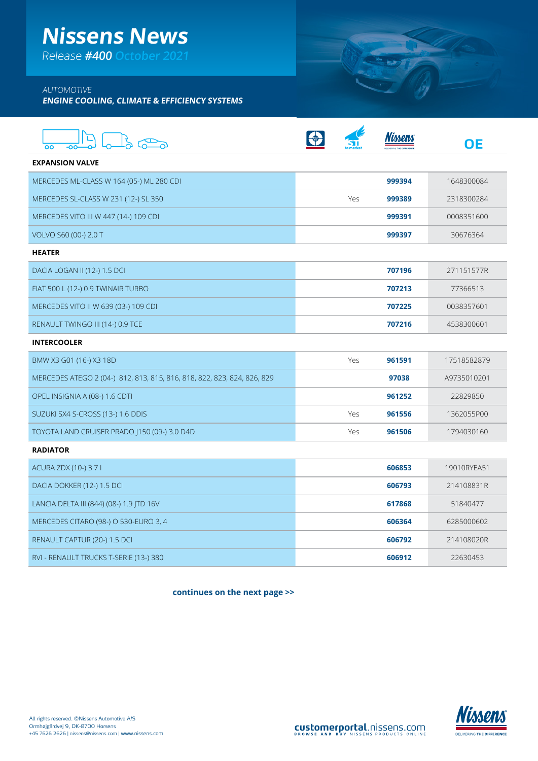# **Nissens News**

Release **#400 October 2021**

### AUTOMOTIVE

**ENGINE COOLING, CLIMATE & EFFICIENCY SYSTEMS**

| oo                                                                      |     | lmen.  | OΕ          |
|-------------------------------------------------------------------------|-----|--------|-------------|
| <b>EXPANSION VALVE</b>                                                  |     |        |             |
| MERCEDES ML-CLASS W 164 (05-) ML 280 CDI                                |     | 999394 | 1648300084  |
| MERCEDES SL-CLASS W 231 (12-) SL 350                                    | Yes | 999389 | 2318300284  |
| MERCEDES VITO III W 447 (14-) 109 CDI                                   |     | 999391 | 0008351600  |
| VOLVO S60 (00-) 2.0 T                                                   |     | 999397 | 30676364    |
| <b>HEATER</b>                                                           |     |        |             |
| DACIA LOGAN II (12-) 1.5 DCI                                            |     | 707196 | 271151577R  |
| FIAT 500 L (12-) 0.9 TWINAIR TURBO                                      |     | 707213 | 77366513    |
| MERCEDES VITO II W 639 (03-) 109 CDI                                    |     | 707225 | 0038357601  |
| RENAULT TWINGO III (14-) 0.9 TCE                                        |     | 707216 | 4538300601  |
| <b>INTERCOOLER</b>                                                      |     |        |             |
| BMW X3 G01 (16-) X3 18D                                                 | Yes | 961591 | 17518582879 |
| MERCEDES ATEGO 2 (04-) 812, 813, 815, 816, 818, 822, 823, 824, 826, 829 |     | 97038  | A9735010201 |
| OPEL INSIGNIA A (08-) 1.6 CDTI                                          |     | 961252 | 22829850    |
| SUZUKI SX4 S-CROSS (13-) 1.6 DDIS                                       | Yes | 961556 | 1362055P00  |
| TOYOTA LAND CRUISER PRADO (150 (09-) 3.0 D4D                            | Yes | 961506 | 1794030160  |
| <b>RADIATOR</b>                                                         |     |        |             |
| ACURA ZDX (10-) 3.7 I                                                   |     | 606853 | 19010RYEA51 |
| DACIA DOKKER (12-) 1.5 DCI                                              |     | 606793 | 214108831R  |
| LANCIA DELTA III (844) (08-) 1.9 JTD 16V                                |     | 617868 | 51840477    |
| MERCEDES CITARO (98-) O 530-EURO 3, 4                                   |     | 606364 | 6285000602  |
| RENAULT CAPTUR (20-) 1.5 DCI                                            |     | 606792 | 214108020R  |
| RVI - RENAULT TRUCKS T-SERIE (13-) 380                                  |     | 606912 | 22630453    |

**continues on the next page >>**



SWIT